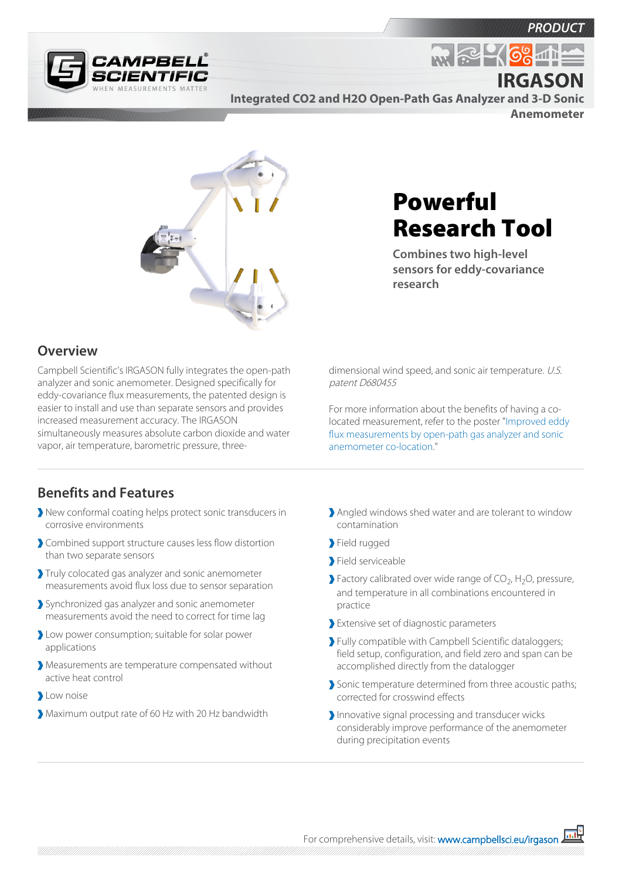



**Integrated CO2 and H2O Open-Path Gas Analyzer and 3-D Sonic** 

**Anemometer**

**IRGASON**

<u>ଚିଚ୍ଚ</u>



#### **Overview**

Campbell Scientific's IRGASON fully integrates the open-path analyzer and sonic anemometer. Designed specifically for eddy-covariance flux measurements, the patented design is easier to install and use than separate sensors and provides increased measurement accuracy. The IRGASON simultaneously measures absolute carbon dioxide and water vapor, air temperature, barometric pressure, three-

# Powerful Research Tool

**Combines two high-level sensors for eddy-covariance research**

dimensional wind speed, and sonic air temperature. U.S. patent D680455

For more information about the benefits of having a colocated measurement, refer to the poster "[Improved eddy](http://s.campbellsci.com/documents/us/miscellaneous/Benefits%20of Having a Co-Located Measurement.pdf) [flux measurements by open-path gas analyzer and sonic](http://s.campbellsci.com/documents/us/miscellaneous/Benefits%20of Having a Co-Located Measurement.pdf)  [anemometer co-location](http://s.campbellsci.com/documents/us/miscellaneous/Benefits%20of Having a Co-Located Measurement.pdf)."

### **Benefits and Features**

- New conformal coating helps protect sonic transducers in corrosive environments
- Combined support structure causes less flow distortion than two separate sensors
- Truly colocated gas analyzer and sonic anemometer measurements avoid flux loss due to sensor separation
- Synchronized gas analyzer and sonic anemometer measurements avoid the need to correct for time lag
- Low power consumption; suitable for solar power applications
- Measurements are temperature compensated without active heat control
- **L**ow noise
- Maximum output rate of 60 Hz with 20 Hz bandwidth
- Angled windows shed water and are tolerant to window contamination
- Field rugged
- Field serviceable
- Factory calibrated over wide range of  $CO_2$ , H<sub>2</sub>O, pressure, and temperature in all combinations encountered in practice
- Extensive set of diagnostic parameters
- Fully compatible with Campbell Scientific dataloggers; field setup, configuration, and field zero and span can be accomplished directly from the datalogger
- Sonic temperature determined from three acoustic paths; corrected for crosswind effects
- Innovative signal processing and transducer wicks considerably improve performance of the anemometer during precipitation events

For comprehensive details, visit: [www.campbellsci.eu/irgason](https://www.campbellsci.eu/irgason)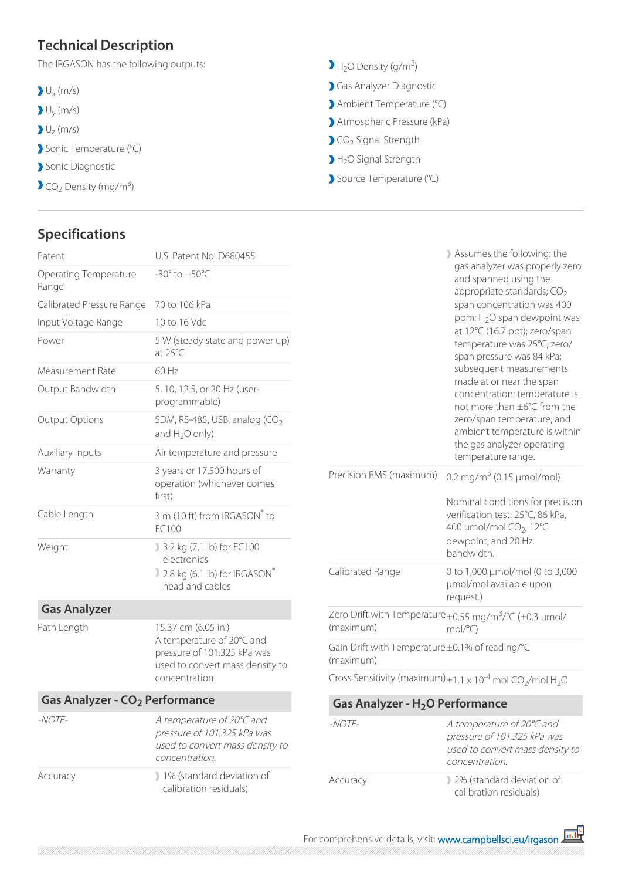## **Technical Description**

The IRGASON has the following outputs:

- $U_{x}$  (m/s)
- Uy (m/s)
- $U_{Z}$  (m/s)
- Sonic Temperature (°C)
- Sonic Diagnostic
- $CO<sub>2</sub>$  Density (mg/m<sup>3</sup>)

## **Specifications**

| $H2O$ Density (g/m <sup>3</sup> ) |  |
|-----------------------------------|--|
|-----------------------------------|--|

- Gas Analyzer Diagnostic
- Ambient Temperature (°C)
- Atmospheric Pressure (kPa)
- CO<sub>2</sub> Signal Strength
- H<sub>2</sub>O Signal Strength
- Source Temperature (°C)

| Patent                                     | U.S. Patent No. D680455                                                                                                              | Assumes the following: the<br>gas analyzer was properly zero<br>and spanned using the<br>appropriate standards; $CO2$<br>span concentration was 400<br>ppm; H <sub>2</sub> O span dewpoint was<br>at 12°C (16.7 ppt); zero/span<br>temperature was 25°C; zero/<br>span pressure was 84 kPa;<br>subsequent measurements<br>made at or near the span<br>concentration; temperature is<br>not more than ±6°C from the |                                                                                                                 |  |
|--------------------------------------------|--------------------------------------------------------------------------------------------------------------------------------------|--------------------------------------------------------------------------------------------------------------------------------------------------------------------------------------------------------------------------------------------------------------------------------------------------------------------------------------------------------------------------------------------------------------------|-----------------------------------------------------------------------------------------------------------------|--|
| <b>Operating Temperature</b><br>Range      | -30 $^{\circ}$ to +50 $^{\circ}$ C                                                                                                   |                                                                                                                                                                                                                                                                                                                                                                                                                    |                                                                                                                 |  |
| Calibrated Pressure Range                  | 70 to 106 kPa                                                                                                                        |                                                                                                                                                                                                                                                                                                                                                                                                                    |                                                                                                                 |  |
| Input Voltage Range                        | 10 to 16 Vdc                                                                                                                         |                                                                                                                                                                                                                                                                                                                                                                                                                    |                                                                                                                 |  |
| Power                                      | 5 W (steady state and power up)<br>at $25^{\circ}$ C                                                                                 |                                                                                                                                                                                                                                                                                                                                                                                                                    |                                                                                                                 |  |
| Measurement Rate                           | 60 Hz                                                                                                                                |                                                                                                                                                                                                                                                                                                                                                                                                                    |                                                                                                                 |  |
| Output Bandwidth                           | 5, 10, 12.5, or 20 Hz (user-<br>programmable)                                                                                        |                                                                                                                                                                                                                                                                                                                                                                                                                    |                                                                                                                 |  |
| <b>Output Options</b>                      | SDM, RS-485, USB, analog $(CO2)$<br>and $H_2O$ only)                                                                                 |                                                                                                                                                                                                                                                                                                                                                                                                                    | zero/span temperature; and<br>ambient temperature is within<br>the gas analyzer operating<br>temperature range. |  |
| Auxiliary Inputs                           | Air temperature and pressure                                                                                                         |                                                                                                                                                                                                                                                                                                                                                                                                                    |                                                                                                                 |  |
| Warranty                                   | 3 years or 17,500 hours of<br>operation (whichever comes<br>first)                                                                   | Precision RMS (maximum)<br>0.2 mg/m <sup>3</sup> (0.15 $\mu$ mol/mol)<br>Nominal conditions for precision<br>verification test: 25°C, 86 kPa,<br>400 µmol/mol CO <sub>2</sub> , 12°C                                                                                                                                                                                                                               |                                                                                                                 |  |
| Cable Length                               | 3 m (10 ft) from IRGASON® to<br>EC100                                                                                                |                                                                                                                                                                                                                                                                                                                                                                                                                    |                                                                                                                 |  |
| Weight                                     | 3.2 kg (7.1 lb) for EC100<br>electronics<br>2.8 kg (6.1 lb) for IRGASON®<br>head and cables                                          | dewpoint, and 20 Hz<br>bandwidth.                                                                                                                                                                                                                                                                                                                                                                                  |                                                                                                                 |  |
|                                            |                                                                                                                                      | Calibrated Range                                                                                                                                                                                                                                                                                                                                                                                                   | 0 to 1,000 µmol/mol (0 to 3,000<br>µmol/mol available upon<br>request.)                                         |  |
| <b>Gas Analyzer</b>                        |                                                                                                                                      |                                                                                                                                                                                                                                                                                                                                                                                                                    | Zero Drift with Temperature ±0.55 mg/m <sup>3</sup> /°C (±0.3 µmol/                                             |  |
| Path Length                                | 15.37 cm (6.05 in.)<br>A temperature of 20°C and<br>pressure of 101.325 kPa was<br>used to convert mass density to<br>concentration. | (maximum)                                                                                                                                                                                                                                                                                                                                                                                                          | $mol$ <sup>o</sup> $C$ )                                                                                        |  |
|                                            |                                                                                                                                      | Gain Drift with Temperature ±0.1% of reading/°C<br>(maximum)                                                                                                                                                                                                                                                                                                                                                       |                                                                                                                 |  |
|                                            |                                                                                                                                      |                                                                                                                                                                                                                                                                                                                                                                                                                    | Cross Sensitivity (maximum) $\pm 1.1 \times 10^{-4}$ mol CO <sub>2</sub> /mol H <sub>2</sub> O                  |  |
| Gas Analyzer - CO <sub>2</sub> Performance |                                                                                                                                      | Gas Analyzer - H <sub>2</sub> O Performance                                                                                                                                                                                                                                                                                                                                                                        |                                                                                                                 |  |
| -NOTE-                                     | A temperature of 20°C and<br>pressure of 101.325 kPa was<br>used to convert mass density to<br>concentration.                        | $-NOTE-$                                                                                                                                                                                                                                                                                                                                                                                                           | A temperature of 20°C and<br>pressure of 101.325 kPa was<br>used to convert mass density to<br>concentration.   |  |
| Accuracy                                   | 1% (standard deviation of<br>calibration residuals)                                                                                  | Accuracy                                                                                                                                                                                                                                                                                                                                                                                                           | 2% (standard deviation of<br>calibration residuals)                                                             |  |